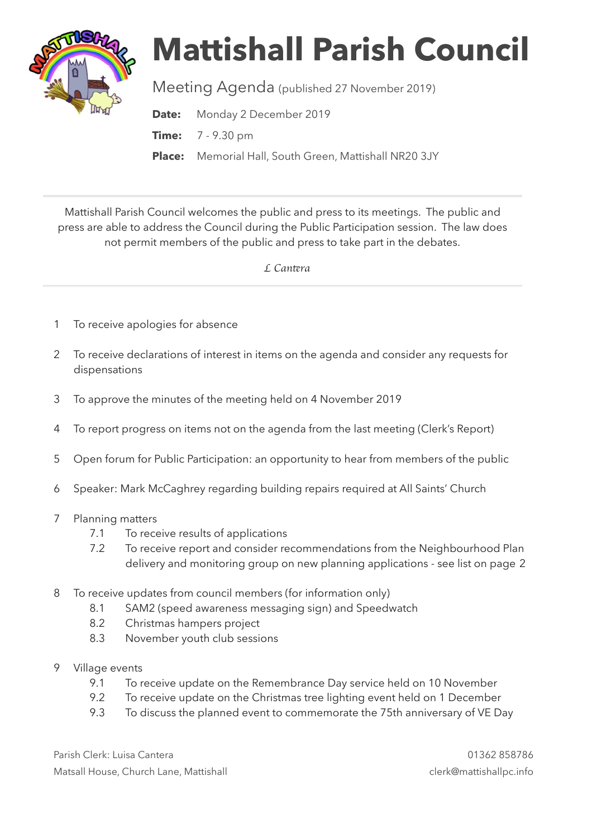

## **Mattishall Parish Council**

Meeting Agenda (published 27 November 2019)

**Date:** Monday 2 December 2019

**Time:** 7 - 9.30 pm

**Place:** Memorial Hall, South Green, Mattishall NR20 3JY

Mattishall Parish Council welcomes the public and press to its meetings. The public and press are able to address the Council during the Public Participation session. The law does not permit members of the public and press to take part in the debates.

 *L Can*t*ra* 

- 1 To receive apologies for absence
- 2 To receive declarations of interest in items on the agenda and consider any requests for dispensations
- 3 To approve the minutes of the meeting held on 4 November 2019
- 4 To report progress on items not on the agenda from the last meeting (Clerk's Report)
- 5 Open forum for Public Participation: an opportunity to hear from members of the public
- 6 Speaker: Mark McCaghrey regarding building repairs required at All Saints' Church
- 7 Planning matters
	- 7.1 To receive results of applications
	- 7.2 To receive report and consider recommendations from the Neighbourhood Plan delivery and monitoring group on new planning applications - see list on page 2
- 8 To receive updates from council members (for information only)
	- 8.1 SAM2 (speed awareness messaging sign) and Speedwatch
	- 8.2 Christmas hampers project
	- 8.3 November youth club sessions
- 9 Village events
	- 9.1 To receive update on the Remembrance Day service held on 10 November
	- 9.2 To receive update on the Christmas tree lighting event held on 1 December
	- 9.3 To discuss the planned event to commemorate the 75th anniversary of VE Day

Parish Clerk: Luisa Cantera 01362 858786 Matsall House, Church Lane, Mattishall clerk@mattishallpc.info